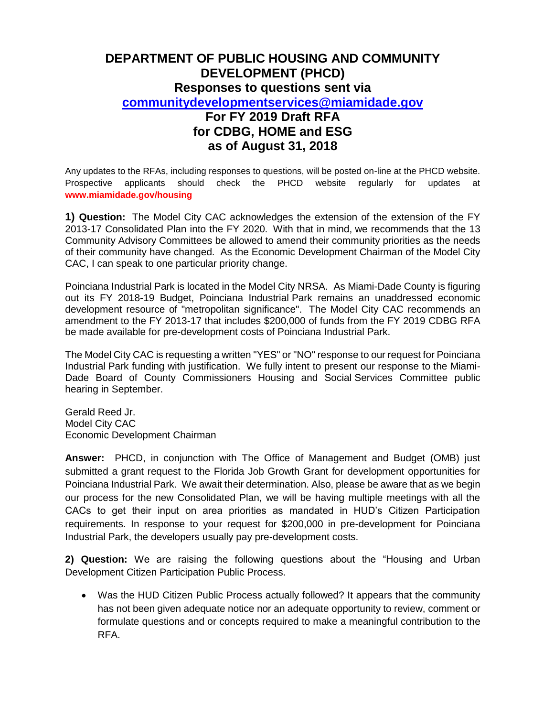## **DEPARTMENT OF PUBLIC HOUSING AND COMMUNITY DEVELOPMENT (PHCD) Responses to questions sent via [communitydevelopmentservices@miamidade.gov](mailto:communitydevelopmentservices@miamidade.gov) For FY 2019 Draft RFA for CDBG, HOME and ESG as of August 31, 2018**

Any updates to the RFAs, including responses to questions, will be posted on-line at the PHCD website. Prospective applicants should check the PHCD website regularly for updates at **www.miamidade.gov/housing**

**1) Question:** The Model City CAC acknowledges the extension of the extension of the FY 2013-17 Consolidated Plan into the FY 2020. With that in mind, we recommends that the 13 Community Advisory Committees be allowed to amend their community priorities as the needs of their community have changed. As the Economic Development Chairman of the Model City CAC, I can speak to one particular priority change.

Poinciana Industrial Park is located in the Model City NRSA. As Miami-Dade County is figuring out its FY 2018-19 Budget, Poinciana Industrial Park remains an unaddressed economic development resource of "metropolitan significance". The Model City CAC recommends an amendment to the FY 2013-17 that includes \$200,000 of funds from the FY 2019 CDBG RFA be made available for pre-development costs of Poinciana Industrial Park.

The Model City CAC is requesting a written "YES" or "NO" response to our request for Poinciana Industrial Park funding with justification. We fully intent to present our response to the Miami-Dade Board of County Commissioners Housing and Social Services Committee public hearing in September.

Gerald Reed Jr. Model City CAC Economic Development Chairman

**Answer:** PHCD, in conjunction with The Office of Management and Budget (OMB) just submitted a grant request to the Florida Job Growth Grant for development opportunities for Poinciana Industrial Park. We await their determination. Also, please be aware that as we begin our process for the new Consolidated Plan, we will be having multiple meetings with all the CACs to get their input on area priorities as mandated in HUD's Citizen Participation requirements. In response to your request for \$200,000 in pre-development for Poinciana Industrial Park, the developers usually pay pre-development costs.

**2) Question:** We are raising the following questions about the "Housing and Urban Development Citizen Participation Public Process.

 Was the HUD Citizen Public Process actually followed? It appears that the community has not been given adequate notice nor an adequate opportunity to review, comment or formulate questions and or concepts required to make a meaningful contribution to the RFA.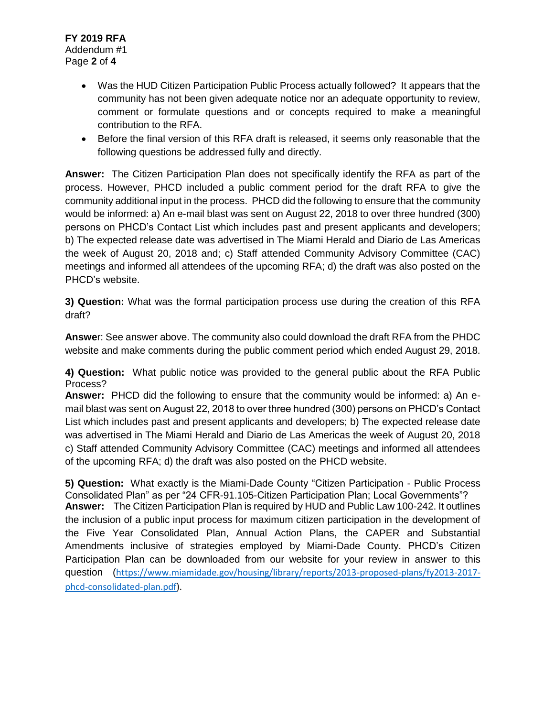- Was the HUD Citizen Participation Public Process actually followed? It appears that the community has not been given adequate notice nor an adequate opportunity to review, comment or formulate questions and or concepts required to make a meaningful contribution to the RFA.
- Before the final version of this RFA draft is released, it seems only reasonable that the following questions be addressed fully and directly.

**Answer:** The Citizen Participation Plan does not specifically identify the RFA as part of the process. However, PHCD included a public comment period for the draft RFA to give the community additional input in the process. PHCD did the following to ensure that the community would be informed: a) An e-mail blast was sent on August 22, 2018 to over three hundred (300) persons on PHCD's Contact List which includes past and present applicants and developers; b) The expected release date was advertised in The Miami Herald and Diario de Las Americas the week of August 20, 2018 and; c) Staff attended Community Advisory Committee (CAC) meetings and informed all attendees of the upcoming RFA; d) the draft was also posted on the PHCD's website.

**3) Question:** What was the formal participation process use during the creation of this RFA draft?

**Answe**r: See answer above. The community also could download the draft RFA from the PHDC website and make comments during the public comment period which ended August 29, 2018.

**4) Question:** What public notice was provided to the general public about the RFA Public Process?

**Answer:** PHCD did the following to ensure that the community would be informed: a) An email blast was sent on August 22, 2018 to over three hundred (300) persons on PHCD's Contact List which includes past and present applicants and developers; b) The expected release date was advertised in The Miami Herald and Diario de Las Americas the week of August 20, 2018 c) Staff attended Community Advisory Committee (CAC) meetings and informed all attendees of the upcoming RFA; d) the draft was also posted on the PHCD website.

**5) Question:** What exactly is the Miami-Dade County "Citizen Participation - Public Process Consolidated Plan" as per "24 CFR-91.105-Citizen Participation Plan; Local Governments"? **Answer:** The Citizen Participation Plan is required by HUD and Public Law 100-242. It outlines the inclusion of a public input process for maximum citizen participation in the development of the Five Year Consolidated Plan, Annual Action Plans, the CAPER and Substantial Amendments inclusive of strategies employed by Miami-Dade County. PHCD's Citizen Participation Plan can be downloaded from our website for your review in answer to this question ([https://www.miamidade.gov/housing/library/reports/2013-proposed-plans/fy2013-2017](https://www.miamidade.gov/housing/library/reports/2013-proposed-plans/fy2013-2017-phcd-consolidated-plan.pdf) [phcd-consolidated-plan.pdf\)](https://www.miamidade.gov/housing/library/reports/2013-proposed-plans/fy2013-2017-phcd-consolidated-plan.pdf).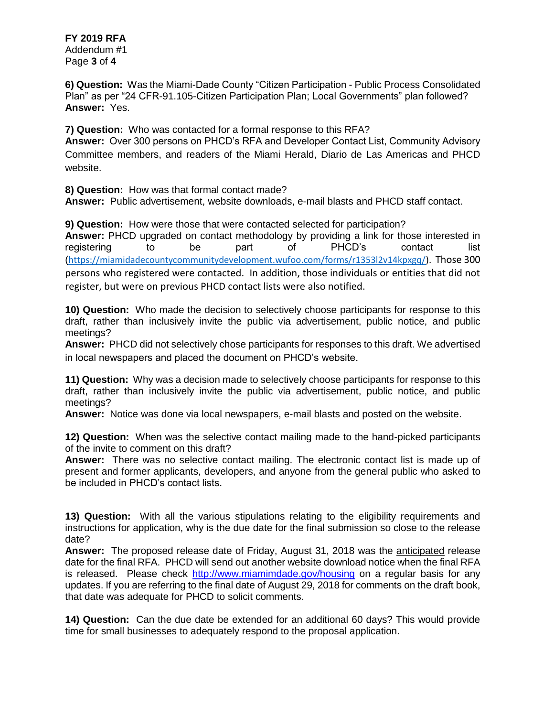Addendum #1 Page **3** of **4**

**6) Question:** Was the Miami-Dade County "Citizen Participation - Public Process Consolidated Plan" as per "24 CFR-91.105-Citizen Participation Plan; Local Governments" plan followed? **Answer:** Yes.

**7) Question:** Who was contacted for a formal response to this RFA?

**Answer:** Over 300 persons on PHCD's RFA and Developer Contact List, Community Advisory Committee members, and readers of the Miami Herald, Diario de Las Americas and PHCD website.

**8) Question:** How was that formal contact made?

**Answer:** Public advertisement, website downloads, e-mail blasts and PHCD staff contact.

**9) Question:** How were those that were contacted selected for participation? **Answer:** PHCD upgraded on contact methodology by providing a link for those interested in registering to be part of PHCD's contact list ([https://miamidadecountycommunitydevelopment.wufoo.com/forms/r1353l2v14kpxgq/\)](https://miamidadecountycommunitydevelopment.wufoo.com/forms/r1353l2v14kpxgq/). Those 300 persons who registered were contacted. In addition, those individuals or entities that did not register, but were on previous PHCD contact lists were also notified.

**10) Question:** Who made the decision to selectively choose participants for response to this draft, rather than inclusively invite the public via advertisement, public notice, and public meetings?

**Answer:** PHCD did not selectively chose participants for responses to this draft. We advertised in local newspapers and placed the document on PHCD's website.

**11) Question:** Why was a decision made to selectively choose participants for response to this draft, rather than inclusively invite the public via advertisement, public notice, and public meetings?

**Answer:** Notice was done via local newspapers, e-mail blasts and posted on the website.

**12) Question:** When was the selective contact mailing made to the hand-picked participants of the invite to comment on this draft?

**Answer:** There was no selective contact mailing. The electronic contact list is made up of present and former applicants, developers, and anyone from the general public who asked to be included in PHCD's contact lists.

**13) Question:** With all the various stipulations relating to the eligibility requirements and instructions for application, why is the due date for the final submission so close to the release date?

**Answer:** The proposed release date of Friday, August 31, 2018 was the anticipated release date for the final RFA. PHCD will send out another website download notice when the final RFA is released. Please check<http://www.miamimdade.gov/housing> on a regular basis for any updates. If you are referring to the final date of August 29, 2018 for comments on the draft book, that date was adequate for PHCD to solicit comments.

**14) Question:** Can the due date be extended for an additional 60 days? This would provide time for small businesses to adequately respond to the proposal application.